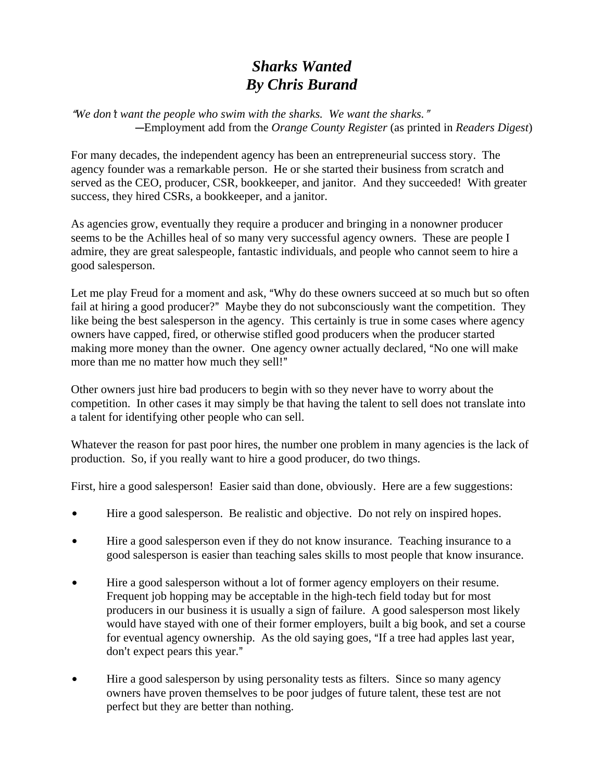## *Sharks Wanted By Chris Burand*

"We don't want the people who swim with the sharks. We want the sharks." CEmployment add from the *Orange County Register* (as printed in *Readers Digest*)

For many decades, the independent agency has been an entrepreneurial success story. The agency founder was a remarkable person. He or she started their business from scratch and served as the CEO, producer, CSR, bookkeeper, and janitor. And they succeeded! With greater success, they hired CSRs, a bookkeeper, and a janitor.

As agencies grow, eventually they require a producer and bringing in a nonowner producer seems to be the Achilles heal of so many very successful agency owners. These are people I admire, they are great salespeople, fantastic individuals, and people who cannot seem to hire a good salesperson.

Let me play Freud for a moment and ask, "Why do these owners succeed at so much but so often fail at hiring a good producer?" Maybe they do not subconsciously want the competition. They like being the best salesperson in the agency. This certainly is true in some cases where agency owners have capped, fired, or otherwise stifled good producers when the producer started making more money than the owner. One agency owner actually declared, "No one will make more than me no matter how much they sell!"

Other owners just hire bad producers to begin with so they never have to worry about the competition. In other cases it may simply be that having the talent to sell does not translate into a talent for identifying other people who can sell.

Whatever the reason for past poor hires, the number one problem in many agencies is the lack of production. So, if you really want to hire a good producer, do two things.

First, hire a good salesperson! Easier said than done, obviously. Here are a few suggestions:

- Hire a good salesperson. Be realistic and objective. Do not rely on inspired hopes.
- Hire a good salesperson even if they do not know insurance. Teaching insurance to a good salesperson is easier than teaching sales skills to most people that know insurance.
- Hire a good salesperson without a lot of former agency employers on their resume. Frequent job hopping may be acceptable in the high-tech field today but for most producers in our business it is usually a sign of failure. A good salesperson most likely would have stayed with one of their former employers, built a big book, and set a course for eventual agency ownership. As the old saying goes, "If a tree had apples last year, don't expect pears this year."
- Hire a good salesperson by using personality tests as filters. Since so many agency owners have proven themselves to be poor judges of future talent, these test are not perfect but they are better than nothing.